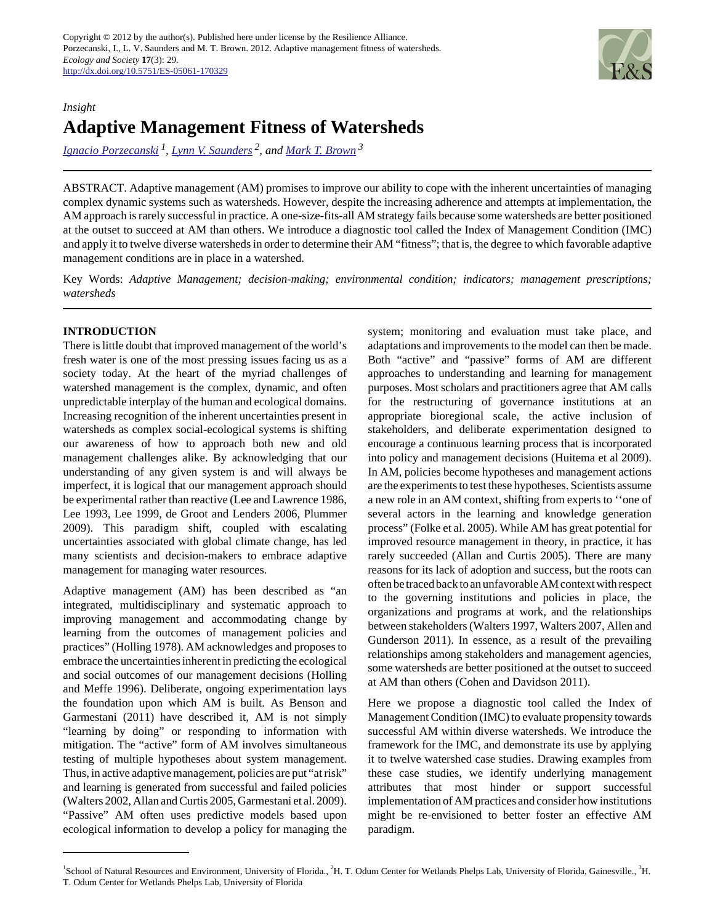

# *Insight* **Adaptive Management Fitness of Watersheds**

*[Ignacio Porzecanski](mailto:igna@ufl.edu)<sup>1</sup> , [Lynn V. Saunders](mailto:saunderslv@gmail.com) 2, and [Mark T. Brown](mailto:mtb@ufl.edu)<sup>3</sup>*

ABSTRACT. Adaptive management (AM) promises to improve our ability to cope with the inherent uncertainties of managing complex dynamic systems such as watersheds. However, despite the increasing adherence and attempts at implementation, the AM approach is rarely successful in practice. A one-size-fits-all AM strategy fails because some watersheds are better positioned at the outset to succeed at AM than others. We introduce a diagnostic tool called the Index of Management Condition (IMC) and apply it to twelve diverse watersheds in order to determine their AM "fitness"; that is, the degree to which favorable adaptive management conditions are in place in a watershed.

Key Words: *Adaptive Management; decision-making; environmental condition; indicators; management prescriptions; watersheds*

# **INTRODUCTION**

There is little doubt that improved management of the world's fresh water is one of the most pressing issues facing us as a society today. At the heart of the myriad challenges of watershed management is the complex, dynamic, and often unpredictable interplay of the human and ecological domains. Increasing recognition of the inherent uncertainties present in watersheds as complex social-ecological systems is shifting our awareness of how to approach both new and old management challenges alike. By acknowledging that our understanding of any given system is and will always be imperfect, it is logical that our management approach should be experimental rather than reactive (Lee and Lawrence 1986, Lee 1993, Lee 1999, de Groot and Lenders 2006, Plummer 2009). This paradigm shift, coupled with escalating uncertainties associated with global climate change, has led many scientists and decision-makers to embrace adaptive management for managing water resources.

Adaptive management (AM) has been described as "an integrated, multidisciplinary and systematic approach to improving management and accommodating change by learning from the outcomes of management policies and practices" (Holling 1978). AM acknowledges and proposes to embrace the uncertainties inherent in predicting the ecological and social outcomes of our management decisions (Holling and Meffe 1996). Deliberate, ongoing experimentation lays the foundation upon which AM is built. As Benson and Garmestani (2011) have described it, AM is not simply "learning by doing" or responding to information with mitigation. The "active" form of AM involves simultaneous testing of multiple hypotheses about system management. Thus, in active adaptive management, policies are put "at risk" and learning is generated from successful and failed policies (Walters 2002, Allan and Curtis 2005, Garmestani et al. 2009). "Passive" AM often uses predictive models based upon ecological information to develop a policy for managing the

system; monitoring and evaluation must take place, and adaptations and improvements to the model can then be made. Both "active" and "passive" forms of AM are different approaches to understanding and learning for management purposes. Most scholars and practitioners agree that AM calls for the restructuring of governance institutions at an appropriate bioregional scale, the active inclusion of stakeholders, and deliberate experimentation designed to encourage a continuous learning process that is incorporated into policy and management decisions (Huitema et al 2009). In AM, policies become hypotheses and management actions are the experiments to test these hypotheses. Scientists assume a new role in an AM context, shifting from experts to ''one of several actors in the learning and knowledge generation process" (Folke et al. 2005). While AM has great potential for improved resource management in theory, in practice, it has rarely succeeded (Allan and Curtis 2005). There are many reasons for its lack of adoption and success, but the roots can often be traced back to an unfavorable AM context with respect to the governing institutions and policies in place, the organizations and programs at work, and the relationships between stakeholders (Walters 1997, Walters 2007, Allen and Gunderson 2011). In essence, as a result of the prevailing relationships among stakeholders and management agencies, some watersheds are better positioned at the outset to succeed at AM than others (Cohen and Davidson 2011).

Here we propose a diagnostic tool called the Index of Management Condition (IMC) to evaluate propensity towards successful AM within diverse watersheds. We introduce the framework for the IMC, and demonstrate its use by applying it to twelve watershed case studies. Drawing examples from these case studies, we identify underlying management attributes that most hinder or support successful implementation of AM practices and consider how institutions might be re-envisioned to better foster an effective AM paradigm.

<sup>&</sup>lt;sup>1</sup>School of Natural Resources and Environment, University of Florida., <sup>2</sup>H. T. Odum Center for Wetlands Phelps Lab, University of Florida, Gainesville., <sup>3</sup>H. T. Odum Center for Wetlands Phelps Lab, University of Florida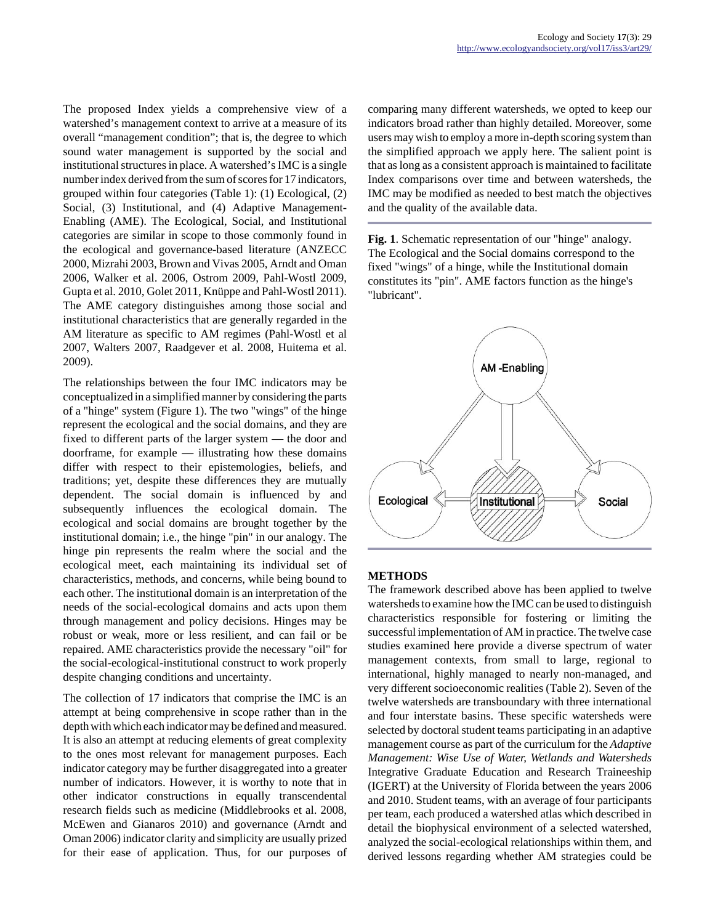The proposed Index yields a comprehensive view of a watershed's management context to arrive at a measure of its overall "management condition"; that is, the degree to which sound water management is supported by the social and institutional structures in place. A watershed's IMC is a single number index derived from the sum of scores for 17 indicators, grouped within four categories (Table 1): (1) Ecological, (2) Social, (3) Institutional, and (4) Adaptive Management-Enabling (AME). The Ecological, Social, and Institutional categories are similar in scope to those commonly found in the ecological and governance-based literature (ANZECC 2000, Mizrahi 2003, Brown and Vivas 2005, Arndt and Oman 2006, Walker et al. 2006, Ostrom 2009, Pahl-Wostl 2009, Gupta et al. 2010, Golet 2011, Knüppe and Pahl-Wostl 2011). The AME category distinguishes among those social and institutional characteristics that are generally regarded in the AM literature as specific to AM regimes (Pahl-Wostl et al 2007, Walters 2007, Raadgever et al. 2008, Huitema et al. 2009).

The relationships between the four IMC indicators may be conceptualized in a simplified manner by considering the parts of a "hinge" system (Figure 1). The two "wings" of the hinge represent the ecological and the social domains, and they are fixed to different parts of the larger system — the door and doorframe, for example — illustrating how these domains differ with respect to their epistemologies, beliefs, and traditions; yet, despite these differences they are mutually dependent. The social domain is influenced by and subsequently influences the ecological domain. The ecological and social domains are brought together by the institutional domain; i.e., the hinge "pin" in our analogy. The hinge pin represents the realm where the social and the ecological meet, each maintaining its individual set of characteristics, methods, and concerns, while being bound to each other. The institutional domain is an interpretation of the needs of the social-ecological domains and acts upon them through management and policy decisions. Hinges may be robust or weak, more or less resilient, and can fail or be repaired. AME characteristics provide the necessary "oil" for the social-ecological-institutional construct to work properly despite changing conditions and uncertainty.

The collection of 17 indicators that comprise the IMC is an attempt at being comprehensive in scope rather than in the depth with which each indicator may be defined and measured. It is also an attempt at reducing elements of great complexity to the ones most relevant for management purposes. Each indicator category may be further disaggregated into a greater number of indicators. However, it is worthy to note that in other indicator constructions in equally transcendental research fields such as medicine (Middlebrooks et al. 2008, McEwen and Gianaros 2010) and governance (Arndt and Oman 2006) indicator clarity and simplicity are usually prized for their ease of application. Thus, for our purposes of comparing many different watersheds, we opted to keep our indicators broad rather than highly detailed. Moreover, some users may wish to employ a more in-depth scoring system than the simplified approach we apply here. The salient point is that as long as a consistent approach is maintained to facilitate Index comparisons over time and between watersheds, the IMC may be modified as needed to best match the objectives and the quality of the available data.

**Fig. 1**. Schematic representation of our "hinge" analogy. The Ecological and the Social domains correspond to the fixed "wings" of a hinge, while the Institutional domain constitutes its "pin". AME factors function as the hinge's "lubricant".



# **METHODS**

The framework described above has been applied to twelve watersheds to examine how the IMC can be used to distinguish characteristics responsible for fostering or limiting the successful implementation of AM in practice. The twelve case studies examined here provide a diverse spectrum of water management contexts, from small to large, regional to international, highly managed to nearly non-managed, and very different socioeconomic realities (Table 2). Seven of the twelve watersheds are transboundary with three international and four interstate basins. These specific watersheds were selected by doctoral student teams participating in an adaptive management course as part of the curriculum for the *Adaptive Management: Wise Use of Water, Wetlands and Watersheds* Integrative Graduate Education and Research Traineeship (IGERT) at the University of Florida between the years 2006 and 2010. Student teams, with an average of four participants per team, each produced a watershed atlas which described in detail the biophysical environment of a selected watershed, analyzed the social-ecological relationships within them, and derived lessons regarding whether AM strategies could be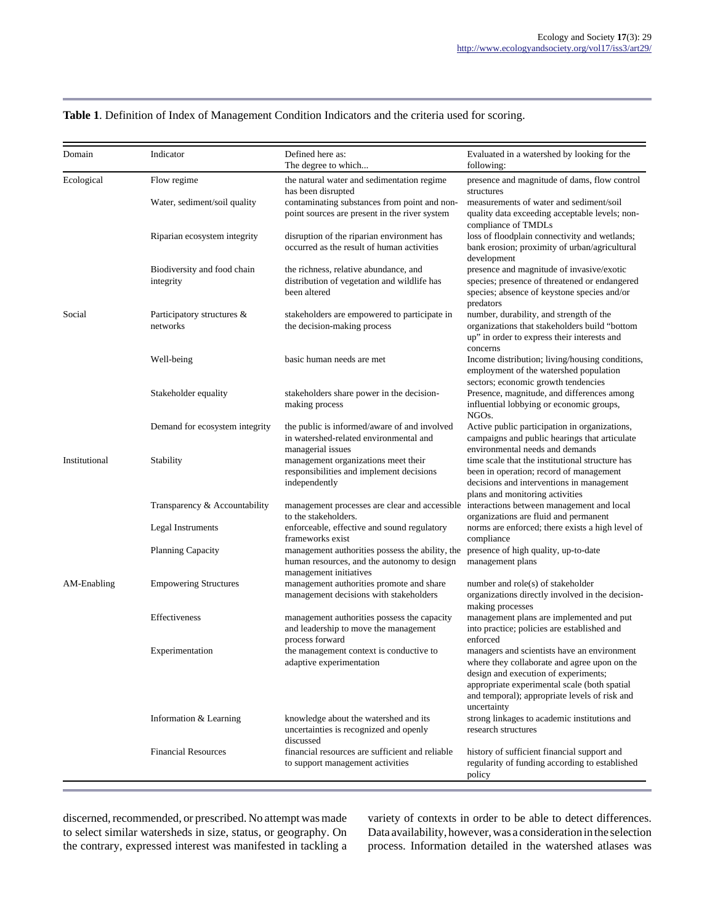### **Table 1**. Definition of Index of Management Condition Indicators and the criteria used for scoring.

| Domain        | Indicator                                | Defined here as:<br>The degree to which                                                                                  | Evaluated in a watershed by looking for the<br>following:                                                                                                                                                                                           |
|---------------|------------------------------------------|--------------------------------------------------------------------------------------------------------------------------|-----------------------------------------------------------------------------------------------------------------------------------------------------------------------------------------------------------------------------------------------------|
| Ecological    | Flow regime                              | the natural water and sedimentation regime<br>has been disrupted                                                         | presence and magnitude of dams, flow control<br>structures                                                                                                                                                                                          |
|               | Water, sediment/soil quality             | contaminating substances from point and non-<br>point sources are present in the river system                            | measurements of water and sediment/soil<br>quality data exceeding acceptable levels; non-<br>compliance of TMDLs                                                                                                                                    |
|               | Riparian ecosystem integrity             | disruption of the riparian environment has<br>occurred as the result of human activities                                 | loss of floodplain connectivity and wetlands;<br>bank erosion; proximity of urban/agricultural<br>development                                                                                                                                       |
|               | Biodiversity and food chain<br>integrity | the richness, relative abundance, and<br>distribution of vegetation and wildlife has<br>been altered                     | presence and magnitude of invasive/exotic<br>species; presence of threatened or endangered<br>species; absence of keystone species and/or<br>predators                                                                                              |
| Social        | Participatory structures &<br>networks   | stakeholders are empowered to participate in<br>the decision-making process                                              | number, durability, and strength of the<br>organizations that stakeholders build "bottom<br>up" in order to express their interests and                                                                                                             |
|               | Well-being                               | basic human needs are met                                                                                                | concerns<br>Income distribution; living/housing conditions,<br>employment of the watershed population<br>sectors; economic growth tendencies                                                                                                        |
|               | Stakeholder equality                     | stakeholders share power in the decision-<br>making process                                                              | Presence, magnitude, and differences among<br>influential lobbying or economic groups,<br>NGO <sub>s</sub> .                                                                                                                                        |
|               | Demand for ecosystem integrity           | the public is informed/aware of and involved<br>in watershed-related environmental and<br>managerial issues              | Active public participation in organizations,<br>campaigns and public hearings that articulate<br>environmental needs and demands                                                                                                                   |
| Institutional | Stability                                | management organizations meet their<br>responsibilities and implement decisions<br>independently                         | time scale that the institutional structure has<br>been in operation; record of management<br>decisions and interventions in management<br>plans and monitoring activities                                                                          |
|               | Transparency & Accountability            | management processes are clear and accessible<br>to the stakeholders.                                                    | interactions between management and local<br>organizations are fluid and permanent                                                                                                                                                                  |
|               | Legal Instruments                        | enforceable, effective and sound regulatory<br>frameworks exist                                                          | norms are enforced; there exists a high level of<br>compliance                                                                                                                                                                                      |
|               | <b>Planning Capacity</b>                 | management authorities possess the ability, the<br>human resources, and the autonomy to design<br>management initiatives | presence of high quality, up-to-date<br>management plans                                                                                                                                                                                            |
| AM-Enabling   | <b>Empowering Structures</b>             | management authorities promote and share<br>management decisions with stakeholders                                       | number and role(s) of stakeholder<br>organizations directly involved in the decision-<br>making processes                                                                                                                                           |
|               | Effectiveness                            | management authorities possess the capacity<br>and leadership to move the management<br>process forward                  | management plans are implemented and put<br>into practice; policies are established and<br>enforced                                                                                                                                                 |
|               | Experimentation                          | the management context is conductive to<br>adaptive experimentation                                                      | managers and scientists have an environment<br>where they collaborate and agree upon on the<br>design and execution of experiments;<br>appropriate experimental scale (both spatial<br>and temporal); appropriate levels of risk and<br>uncertainty |
|               | Information & Learning                   | knowledge about the watershed and its<br>uncertainties is recognized and openly<br>discussed                             | strong linkages to academic institutions and<br>research structures                                                                                                                                                                                 |
|               | <b>Financial Resources</b>               | financial resources are sufficient and reliable<br>to support management activities                                      | history of sufficient financial support and<br>regularity of funding according to established<br>policy                                                                                                                                             |

discerned, recommended, or prescribed. No attempt was made to select similar watersheds in size, status, or geography. On the contrary, expressed interest was manifested in tackling a variety of contexts in order to be able to detect differences. Data availability, however, was a consideration in the selection process. Information detailed in the watershed atlases was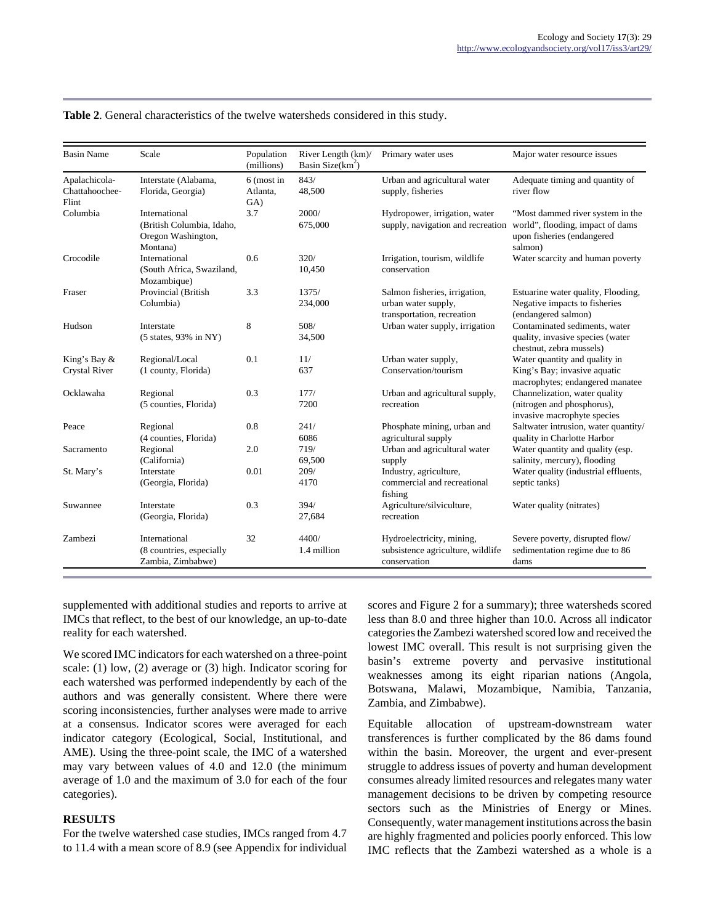| <b>Basin Name</b>                        | Scale                                                                        | Population<br>River Length (km)/<br>Primary water uses<br>Basin Size $(km^2)$<br>(millions) |                      |                                                                                    | Major water resource issues                                                                                   |  |  |  |
|------------------------------------------|------------------------------------------------------------------------------|---------------------------------------------------------------------------------------------|----------------------|------------------------------------------------------------------------------------|---------------------------------------------------------------------------------------------------------------|--|--|--|
| Apalachicola-<br>Chattahoochee-<br>Flint | Interstate (Alabama,<br>Florida, Georgia)                                    | 6 (most in<br>Atlanta,<br>GA)                                                               | 843/<br>48,500       | Urban and agricultural water<br>supply, fisheries                                  | Adequate timing and quantity of<br>river flow                                                                 |  |  |  |
| Columbia                                 | International<br>(British Columbia, Idaho,<br>Oregon Washington,<br>Montana) | 3.7                                                                                         | 2000/<br>675,000     | Hydropower, irrigation, water<br>supply, navigation and recreation                 | "Most dammed river system in the<br>world", flooding, impact of dams<br>upon fisheries (endangered<br>salmon) |  |  |  |
| Crocodile                                | International<br>(South Africa, Swaziland,<br>Mozambique)                    | 0.6                                                                                         | 320/<br>10,450       | Irrigation, tourism, wildlife<br>conservation                                      | Water scarcity and human poverty                                                                              |  |  |  |
| Fraser                                   | Provincial (British<br>Columbia)                                             | 3.3                                                                                         | 1375/<br>234,000     | Salmon fisheries, irrigation,<br>urban water supply,<br>transportation, recreation | Estuarine water quality, Flooding,<br>Negative impacts to fisheries<br>(endangered salmon)                    |  |  |  |
| Hudson                                   | Interstate<br>(5 states, 93% in NY)                                          | 8                                                                                           | 508/<br>34,500       | Urban water supply, irrigation                                                     | Contaminated sediments, water<br>quality, invasive species (water<br>chestnut, zebra mussels)                 |  |  |  |
| King's Bay &<br><b>Crystal River</b>     | Regional/Local<br>(1 county, Florida)                                        | 0.1                                                                                         | 11/<br>637           | Urban water supply,<br>Conservation/tourism                                        | Water quantity and quality in<br>King's Bay; invasive aquatic<br>macrophytes; endangered manatee              |  |  |  |
| Ocklawaha                                | Regional<br>(5 counties, Florida)                                            | 0.3                                                                                         | 177/<br>7200         | Urban and agricultural supply,<br>recreation                                       | Channelization, water quality<br>(nitrogen and phosphorus),<br>invasive macrophyte species                    |  |  |  |
| Peace                                    | Regional<br>(4 counties, Florida)                                            | 0.8                                                                                         | 241/<br>6086         | Phosphate mining, urban and<br>agricultural supply                                 | Saltwater intrusion, water quantity/<br>quality in Charlotte Harbor                                           |  |  |  |
| Sacramento                               | Regional<br>(California)                                                     | 2.0                                                                                         | 719/<br>69,500       | Urban and agricultural water<br>supply                                             | Water quantity and quality (esp.<br>salinity, mercury), flooding                                              |  |  |  |
| St. Mary's                               | Interstate<br>(Georgia, Florida)                                             | 0.01                                                                                        | 209/<br>4170         | Industry, agriculture,<br>commercial and recreational<br>fishing                   | Water quality (industrial effluents,<br>septic tanks)                                                         |  |  |  |
| Suwannee                                 | Interstate<br>(Georgia, Florida)                                             | 0.3                                                                                         | 394/<br>27,684       | Agriculture/silviculture,<br>recreation                                            | Water quality (nitrates)                                                                                      |  |  |  |
| Zambezi                                  | International<br>(8 countries, especially<br>Zambia, Zimbabwe)               | 32                                                                                          | 4400/<br>1.4 million | Hydroelectricity, mining,<br>subsistence agriculture, wildlife<br>conservation     | Severe poverty, disrupted flow/<br>sedimentation regime due to 86<br>dams                                     |  |  |  |

#### **Table 2**. General characteristics of the twelve watersheds considered in this study.

supplemented with additional studies and reports to arrive at IMCs that reflect, to the best of our knowledge, an up-to-date reality for each watershed.

We scored IMC indicators for each watershed on a three-point scale: (1) low, (2) average or (3) high. Indicator scoring for each watershed was performed independently by each of the authors and was generally consistent. Where there were scoring inconsistencies, further analyses were made to arrive at a consensus. Indicator scores were averaged for each indicator category (Ecological, Social, Institutional, and AME). Using the three-point scale, the IMC of a watershed may vary between values of 4.0 and 12.0 (the minimum average of 1.0 and the maximum of 3.0 for each of the four categories).

#### **RESULTS**

For the twelve watershed case studies, IMCs ranged from 4.7 to 11.4 with a mean score of 8.9 (see Appendix for individual scores and Figure 2 for a summary); three watersheds scored less than 8.0 and three higher than 10.0. Across all indicator categories the Zambezi watershed scored low and received the lowest IMC overall. This result is not surprising given the basin's extreme poverty and pervasive institutional weaknesses among its eight riparian nations (Angola, Botswana, Malawi, Mozambique, Namibia, Tanzania, Zambia, and Zimbabwe).

Equitable allocation of upstream-downstream water transferences is further complicated by the 86 dams found within the basin. Moreover, the urgent and ever-present struggle to address issues of poverty and human development consumes already limited resources and relegates many water management decisions to be driven by competing resource sectors such as the Ministries of Energy or Mines. Consequently, water management institutions across the basin are highly fragmented and policies poorly enforced. This low IMC reflects that the Zambezi watershed as a whole is a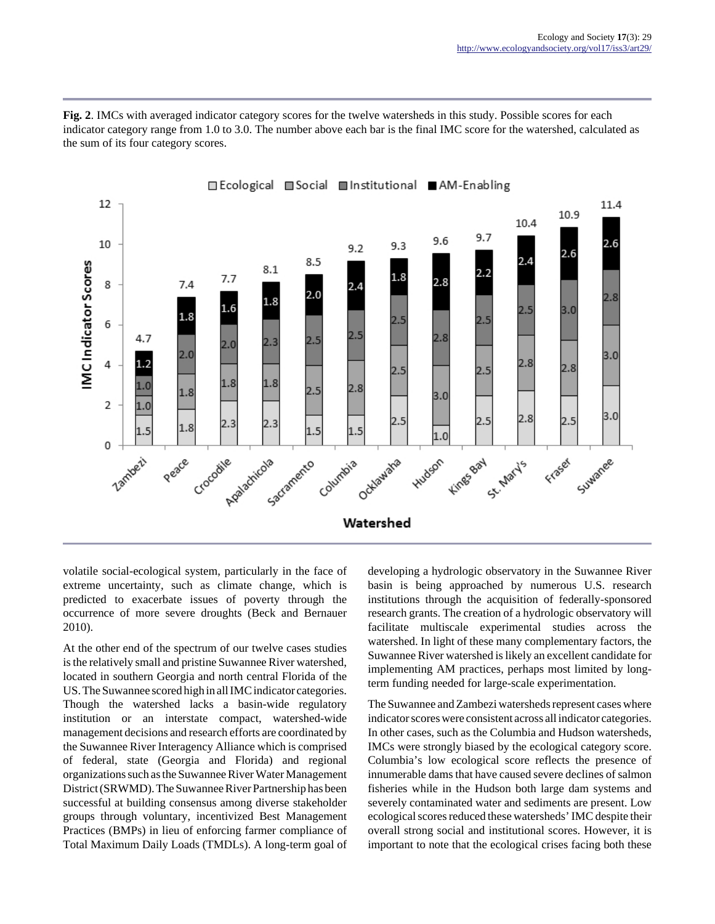**Fig. 2**. IMCs with averaged indicator category scores for the twelve watersheds in this study. Possible scores for each indicator category range from 1.0 to 3.0. The number above each bar is the final IMC score for the watershed, calculated as the sum of its four category scores.



volatile social-ecological system, particularly in the face of extreme uncertainty, such as climate change, which is predicted to exacerbate issues of poverty through the occurrence of more severe droughts (Beck and Bernauer 2010).

At the other end of the spectrum of our twelve cases studies is the relatively small and pristine Suwannee River watershed, located in southern Georgia and north central Florida of the US. The Suwannee scored high in all IMC indicator categories. Though the watershed lacks a basin-wide regulatory institution or an interstate compact, watershed-wide management decisions and research efforts are coordinated by the Suwannee River Interagency Alliance which is comprised of federal, state (Georgia and Florida) and regional organizations such as the Suwannee River Water Management District (SRWMD). The Suwannee River Partnership has been successful at building consensus among diverse stakeholder groups through voluntary, incentivized Best Management Practices (BMPs) in lieu of enforcing farmer compliance of Total Maximum Daily Loads (TMDLs). A long-term goal of developing a hydrologic observatory in the Suwannee River basin is being approached by numerous U.S. research institutions through the acquisition of federally-sponsored research grants. The creation of a hydrologic observatory will facilitate multiscale experimental studies across the watershed. In light of these many complementary factors, the Suwannee River watershed is likely an excellent candidate for implementing AM practices, perhaps most limited by longterm funding needed for large-scale experimentation.

The Suwannee and Zambezi watersheds represent cases where indicator scores were consistent across all indicator categories. In other cases, such as the Columbia and Hudson watersheds, IMCs were strongly biased by the ecological category score. Columbia's low ecological score reflects the presence of innumerable dams that have caused severe declines of salmon fisheries while in the Hudson both large dam systems and severely contaminated water and sediments are present. Low ecological scores reduced these watersheds' IMC despite their overall strong social and institutional scores. However, it is important to note that the ecological crises facing both these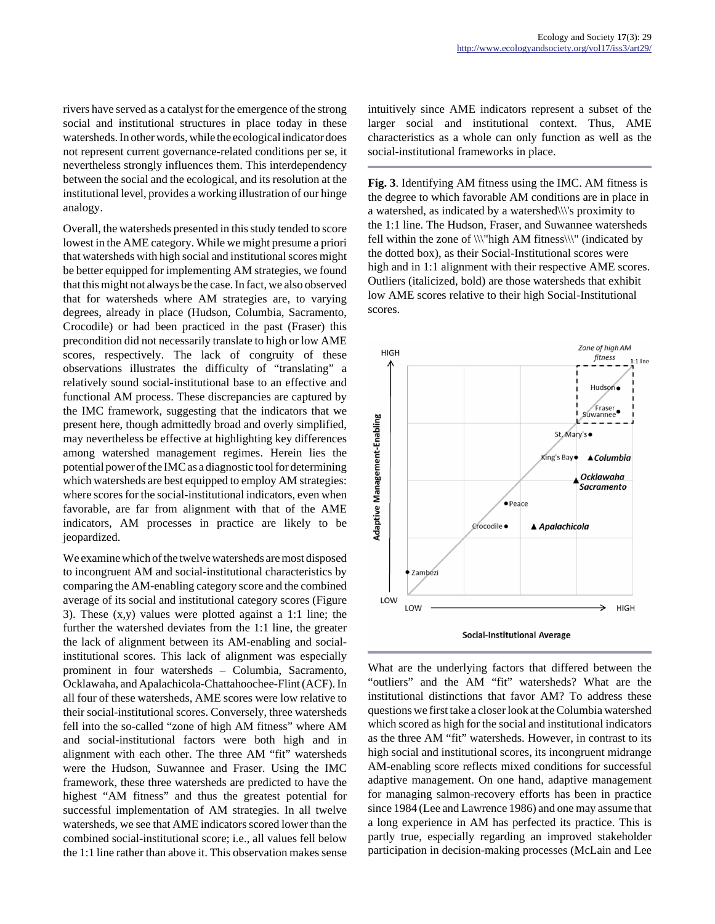rivers have served as a catalyst for the emergence of the strong social and institutional structures in place today in these watersheds. In other words, while the ecological indicator does not represent current governance-related conditions per se, it nevertheless strongly influences them. This interdependency between the social and the ecological, and its resolution at the institutional level, provides a working illustration of our hinge analogy.

Overall, the watersheds presented in this study tended to score lowest in the AME category. While we might presume a priori that watersheds with high social and institutional scores might be better equipped for implementing AM strategies, we found that this might not always be the case. In fact, we also observed that for watersheds where AM strategies are, to varying degrees, already in place (Hudson, Columbia, Sacramento, Crocodile) or had been practiced in the past (Fraser) this precondition did not necessarily translate to high or low AME scores, respectively. The lack of congruity of these observations illustrates the difficulty of "translating" a relatively sound social-institutional base to an effective and functional AM process. These discrepancies are captured by the IMC framework, suggesting that the indicators that we present here, though admittedly broad and overly simplified, may nevertheless be effective at highlighting key differences among watershed management regimes. Herein lies the potential power of the IMC as a diagnostic tool for determining which watersheds are best equipped to employ AM strategies: where scores for the social-institutional indicators, even when favorable, are far from alignment with that of the AME indicators, AM processes in practice are likely to be jeopardized.

We examine which of the twelve watersheds are most disposed to incongruent AM and social-institutional characteristics by comparing the AM-enabling category score and the combined average of its social and institutional category scores (Figure 3). These (x,y) values were plotted against a 1:1 line; the further the watershed deviates from the 1:1 line, the greater the lack of alignment between its AM-enabling and socialinstitutional scores. This lack of alignment was especially prominent in four watersheds – Columbia, Sacramento, Ocklawaha, and Apalachicola-Chattahoochee-Flint (ACF). In all four of these watersheds, AME scores were low relative to their social-institutional scores. Conversely, three watersheds fell into the so-called "zone of high AM fitness" where AM and social-institutional factors were both high and in alignment with each other. The three AM "fit" watersheds were the Hudson, Suwannee and Fraser. Using the IMC framework, these three watersheds are predicted to have the highest "AM fitness" and thus the greatest potential for successful implementation of AM strategies. In all twelve watersheds, we see that AME indicators scored lower than the combined social-institutional score; i.e., all values fell below the 1:1 line rather than above it. This observation makes sense intuitively since AME indicators represent a subset of the larger social and institutional context. Thus, AME characteristics as a whole can only function as well as the social-institutional frameworks in place.

**Fig. 3**. Identifying AM fitness using the IMC. AM fitness is the degree to which favorable AM conditions are in place in a watershed, as indicated by a watershed\\\'s proximity to the 1:1 line. The Hudson, Fraser, and Suwannee watersheds fell within the zone of \\\"high AM fitness\\\" (indicated by the dotted box), as their Social-Institutional scores were high and in 1:1 alignment with their respective AME scores. Outliers (italicized, bold) are those watersheds that exhibit low AME scores relative to their high Social-Institutional scores.



What are the underlying factors that differed between the "outliers" and the AM "fit" watersheds? What are the institutional distinctions that favor AM? To address these questions we first take a closer look at the Columbia watershed which scored as high for the social and institutional indicators as the three AM "fit" watersheds. However, in contrast to its high social and institutional scores, its incongruent midrange AM-enabling score reflects mixed conditions for successful adaptive management. On one hand, adaptive management for managing salmon-recovery efforts has been in practice since 1984 (Lee and Lawrence 1986) and one may assume that a long experience in AM has perfected its practice. This is partly true, especially regarding an improved stakeholder participation in decision-making processes (McLain and Lee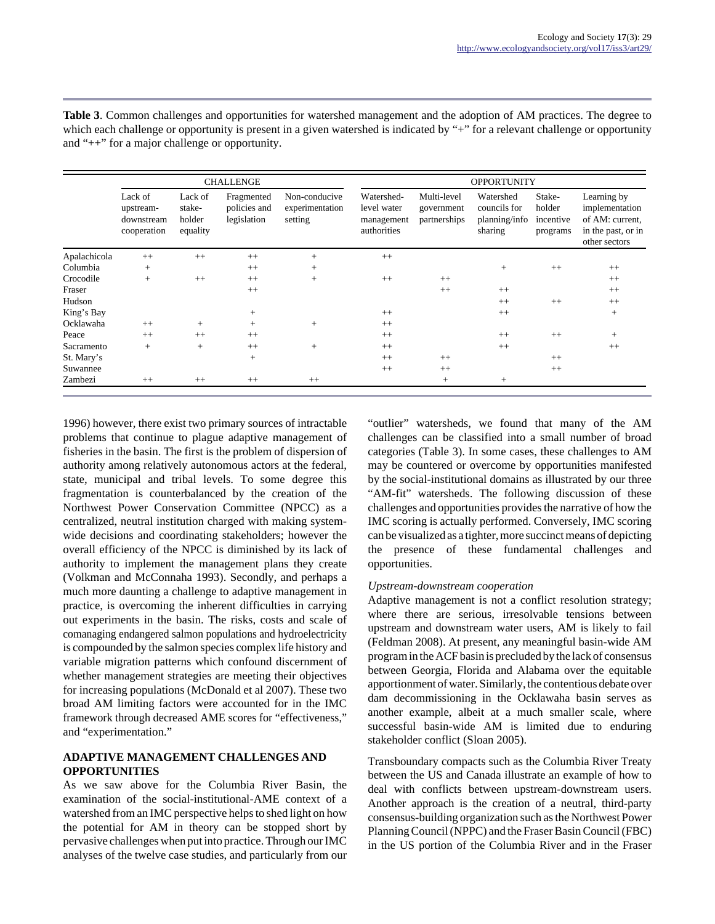|              |                                                   |                                         | <b>CHALLENGE</b>                          |                                             | <b>OPPORTUNITY</b>                                     |                                           |                                                       |                                           |                                                                                         |  |  |  |
|--------------|---------------------------------------------------|-----------------------------------------|-------------------------------------------|---------------------------------------------|--------------------------------------------------------|-------------------------------------------|-------------------------------------------------------|-------------------------------------------|-----------------------------------------------------------------------------------------|--|--|--|
|              | Lack of<br>upstream-<br>downstream<br>cooperation | Lack of<br>stake-<br>holder<br>equality | Fragmented<br>policies and<br>legislation | Non-conducive<br>experimentation<br>setting | Watershed-<br>level water<br>management<br>authorities | Multi-level<br>government<br>partnerships | Watershed<br>councils for<br>planning/info<br>sharing | Stake-<br>holder<br>incentive<br>programs | Learning by<br>implementation<br>of AM: current,<br>in the past, or in<br>other sectors |  |  |  |
| Apalachicola | $++$                                              | $++$                                    | $++$                                      | $+$                                         | $++$                                                   |                                           |                                                       |                                           |                                                                                         |  |  |  |
| Columbia     | $+$                                               |                                         | $++$                                      | $+$                                         |                                                        |                                           | $+$                                                   | $++$                                      | $++$                                                                                    |  |  |  |
| Crocodile    | $+$                                               | $++$                                    | $++$                                      | $+$                                         | $++$                                                   | $^{++}$                                   |                                                       |                                           | $++$                                                                                    |  |  |  |
| Fraser       |                                                   |                                         | $++$                                      |                                             |                                                        | $++$                                      | $++$                                                  |                                           | $++$                                                                                    |  |  |  |
| Hudson       |                                                   |                                         |                                           |                                             |                                                        |                                           | $++$                                                  | $++$                                      | $++$                                                                                    |  |  |  |
| King's Bay   |                                                   |                                         | $+$                                       |                                             | $++$                                                   |                                           | $++$                                                  |                                           | $+$                                                                                     |  |  |  |
| Ocklawaha    | $++$                                              | $+$                                     | $+$                                       | $+$                                         | $++$                                                   |                                           |                                                       |                                           |                                                                                         |  |  |  |
| Peace        | $++$                                              | $++$                                    | $++$                                      |                                             | $++$                                                   |                                           | $++$                                                  | $++$                                      | $+$                                                                                     |  |  |  |
| Sacramento   | $+$                                               | $+$                                     | $++$                                      | $+$                                         | $++$                                                   |                                           | $++$                                                  |                                           | $++$                                                                                    |  |  |  |
| St. Mary's   |                                                   |                                         | $^{+}$                                    |                                             | $++$                                                   | $++$                                      |                                                       | $++$                                      |                                                                                         |  |  |  |
| Suwannee     |                                                   |                                         |                                           |                                             | $++$                                                   | $++$                                      |                                                       | $++$                                      |                                                                                         |  |  |  |
| Zambezi      | $++$                                              | $++$                                    | $++$                                      | $++$                                        |                                                        | $+$                                       | $+$                                                   |                                           |                                                                                         |  |  |  |

**Table 3**. Common challenges and opportunities for watershed management and the adoption of AM practices. The degree to which each challenge or opportunity is present in a given watershed is indicated by "+" for a relevant challenge or opportunity and "++" for a major challenge or opportunity.

1996) however, there exist two primary sources of intractable problems that continue to plague adaptive management of fisheries in the basin. The first is the problem of dispersion of authority among relatively autonomous actors at the federal, state, municipal and tribal levels. To some degree this fragmentation is counterbalanced by the creation of the Northwest Power Conservation Committee (NPCC) as a centralized, neutral institution charged with making systemwide decisions and coordinating stakeholders; however the overall efficiency of the NPCC is diminished by its lack of authority to implement the management plans they create (Volkman and McConnaha 1993). Secondly, and perhaps a much more daunting a challenge to adaptive management in practice, is overcoming the inherent difficulties in carrying out experiments in the basin. The risks, costs and scale of comanaging endangered salmon populations and hydroelectricity is compounded by the salmon species complex life history and variable migration patterns which confound discernment of whether management strategies are meeting their objectives for increasing populations (McDonald et al 2007). These two broad AM limiting factors were accounted for in the IMC framework through decreased AME scores for "effectiveness," and "experimentation."

# **ADAPTIVE MANAGEMENT CHALLENGES AND OPPORTUNITIES**

As we saw above for the Columbia River Basin, the examination of the social-institutional-AME context of a watershed from an IMC perspective helps to shed light on how the potential for AM in theory can be stopped short by pervasive challenges when put into practice. Through our IMC analyses of the twelve case studies, and particularly from our

"outlier" watersheds, we found that many of the AM challenges can be classified into a small number of broad categories (Table 3). In some cases, these challenges to AM may be countered or overcome by opportunities manifested by the social-institutional domains as illustrated by our three "AM-fit" watersheds. The following discussion of these challenges and opportunities provides the narrative of how the IMC scoring is actually performed. Conversely, IMC scoring can be visualized as a tighter, more succinct means of depicting the presence of these fundamental challenges and opportunities.

# *Upstream-downstream cooperation*

Adaptive management is not a conflict resolution strategy; where there are serious, irresolvable tensions between upstream and downstream water users, AM is likely to fail (Feldman 2008). At present, any meaningful basin-wide AM program in the ACF basin is precluded by the lack of consensus between Georgia, Florida and Alabama over the equitable apportionment of water. Similarly, the contentious debate over dam decommissioning in the Ocklawaha basin serves as another example, albeit at a much smaller scale, where successful basin-wide AM is limited due to enduring stakeholder conflict (Sloan 2005).

Transboundary compacts such as the Columbia River Treaty between the US and Canada illustrate an example of how to deal with conflicts between upstream-downstream users. Another approach is the creation of a neutral, third-party consensus-building organization such as the Northwest Power Planning Council (NPPC) and the Fraser Basin Council (FBC) in the US portion of the Columbia River and in the Fraser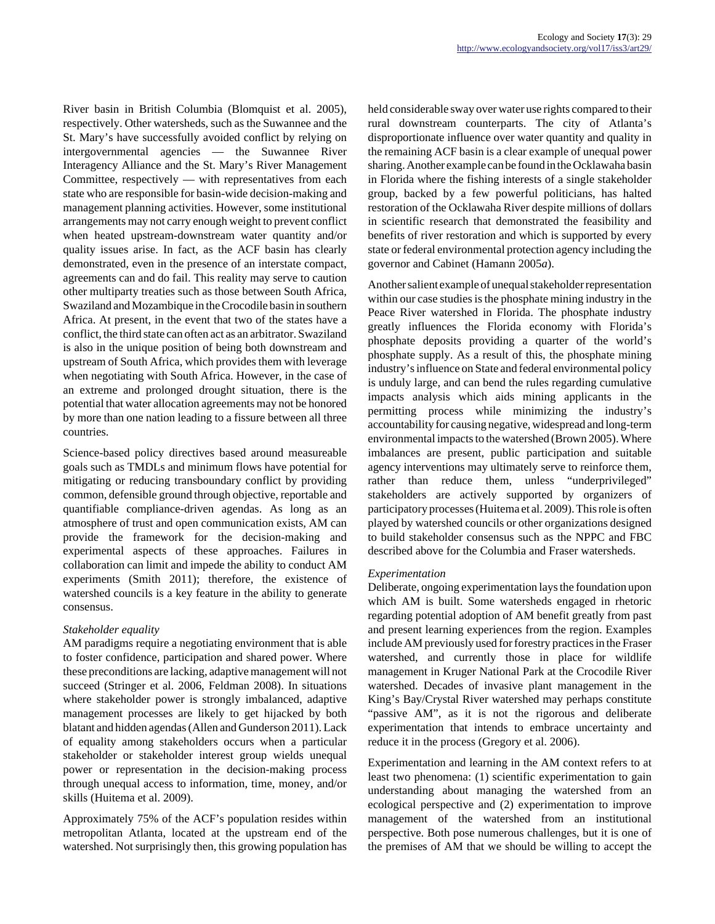River basin in British Columbia (Blomquist et al. 2005), respectively. Other watersheds, such as the Suwannee and the St. Mary's have successfully avoided conflict by relying on intergovernmental agencies — the Suwannee River Interagency Alliance and the St. Mary's River Management Committee, respectively — with representatives from each state who are responsible for basin-wide decision-making and management planning activities. However, some institutional arrangements may not carry enough weight to prevent conflict when heated upstream-downstream water quantity and/or quality issues arise. In fact, as the ACF basin has clearly demonstrated, even in the presence of an interstate compact, agreements can and do fail. This reality may serve to caution other multiparty treaties such as those between South Africa, Swaziland and Mozambique in the Crocodile basin in southern Africa. At present, in the event that two of the states have a conflict, the third state can often act as an arbitrator. Swaziland is also in the unique position of being both downstream and upstream of South Africa, which provides them with leverage when negotiating with South Africa. However, in the case of an extreme and prolonged drought situation, there is the potential that water allocation agreements may not be honored by more than one nation leading to a fissure between all three countries.

Science-based policy directives based around measureable goals such as TMDLs and minimum flows have potential for mitigating or reducing transboundary conflict by providing common, defensible ground through objective, reportable and quantifiable compliance-driven agendas. As long as an atmosphere of trust and open communication exists, AM can provide the framework for the decision-making and experimental aspects of these approaches. Failures in collaboration can limit and impede the ability to conduct AM experiments (Smith 2011); therefore, the existence of watershed councils is a key feature in the ability to generate consensus.

# *Stakeholder equality*

AM paradigms require a negotiating environment that is able to foster confidence, participation and shared power. Where these preconditions are lacking, adaptive management will not succeed (Stringer et al. 2006, Feldman 2008). In situations where stakeholder power is strongly imbalanced, adaptive management processes are likely to get hijacked by both blatant and hidden agendas (Allen and Gunderson 2011). Lack of equality among stakeholders occurs when a particular stakeholder or stakeholder interest group wields unequal power or representation in the decision-making process through unequal access to information, time, money, and/or skills (Huitema et al. 2009).

Approximately 75% of the ACF's population resides within metropolitan Atlanta, located at the upstream end of the watershed. Not surprisingly then, this growing population has held considerable sway over water use rights compared to their rural downstream counterparts. The city of Atlanta's disproportionate influence over water quantity and quality in the remaining ACF basin is a clear example of unequal power sharing. Another example can be found in the Ocklawaha basin in Florida where the fishing interests of a single stakeholder group, backed by a few powerful politicians, has halted restoration of the Ocklawaha River despite millions of dollars in scientific research that demonstrated the feasibility and benefits of river restoration and which is supported by every state or federal environmental protection agency including the governor and Cabinet (Hamann 2005*a*).

Another salient example of unequal stakeholder representation within our case studies is the phosphate mining industry in the Peace River watershed in Florida. The phosphate industry greatly influences the Florida economy with Florida's phosphate deposits providing a quarter of the world's phosphate supply. As a result of this, the phosphate mining industry's influence on State and federal environmental policy is unduly large, and can bend the rules regarding cumulative impacts analysis which aids mining applicants in the permitting process while minimizing the industry's accountability for causing negative, widespread and long-term environmental impacts to the watershed (Brown 2005). Where imbalances are present, public participation and suitable agency interventions may ultimately serve to reinforce them, rather than reduce them, unless "underprivileged" stakeholders are actively supported by organizers of participatory processes (Huitema et al. 2009). This role is often played by watershed councils or other organizations designed to build stakeholder consensus such as the NPPC and FBC described above for the Columbia and Fraser watersheds.

#### *Experimentation*

Deliberate, ongoing experimentation lays the foundation upon which AM is built. Some watersheds engaged in rhetoric regarding potential adoption of AM benefit greatly from past and present learning experiences from the region. Examples include AM previously used for forestry practices in the Fraser watershed, and currently those in place for wildlife management in Kruger National Park at the Crocodile River watershed. Decades of invasive plant management in the King's Bay/Crystal River watershed may perhaps constitute "passive AM", as it is not the rigorous and deliberate experimentation that intends to embrace uncertainty and reduce it in the process (Gregory et al. 2006).

Experimentation and learning in the AM context refers to at least two phenomena: (1) scientific experimentation to gain understanding about managing the watershed from an ecological perspective and (2) experimentation to improve management of the watershed from an institutional perspective. Both pose numerous challenges, but it is one of the premises of AM that we should be willing to accept the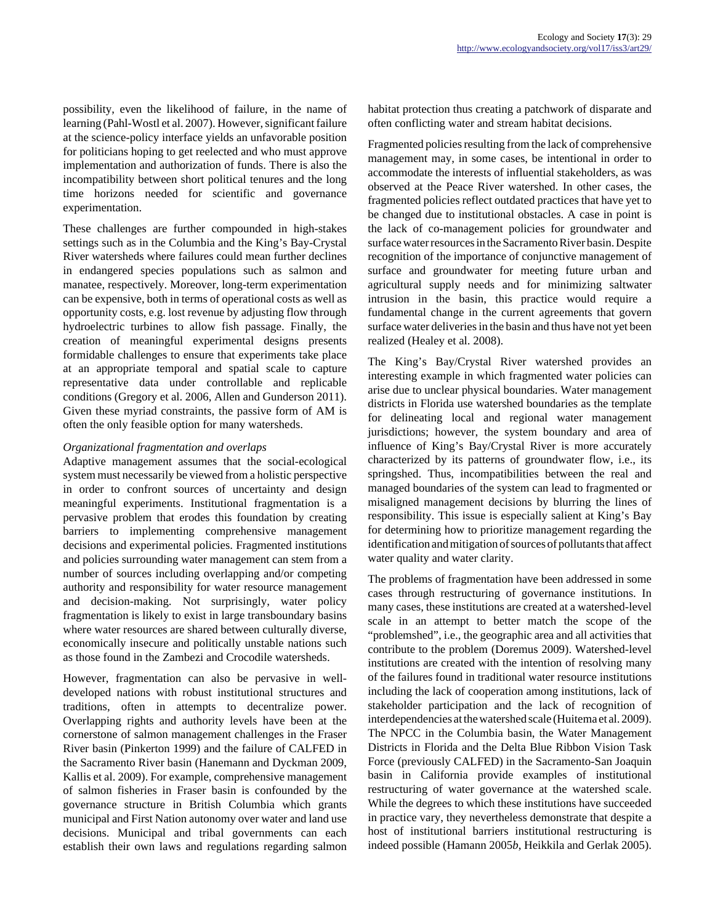possibility, even the likelihood of failure, in the name of learning (Pahl-Wostl et al. 2007). However, significant failure at the science-policy interface yields an unfavorable position for politicians hoping to get reelected and who must approve implementation and authorization of funds. There is also the incompatibility between short political tenures and the long time horizons needed for scientific and governance experimentation.

These challenges are further compounded in high-stakes settings such as in the Columbia and the King's Bay-Crystal River watersheds where failures could mean further declines in endangered species populations such as salmon and manatee, respectively. Moreover, long-term experimentation can be expensive, both in terms of operational costs as well as opportunity costs, e.g. lost revenue by adjusting flow through hydroelectric turbines to allow fish passage. Finally, the creation of meaningful experimental designs presents formidable challenges to ensure that experiments take place at an appropriate temporal and spatial scale to capture representative data under controllable and replicable conditions (Gregory et al. 2006, Allen and Gunderson 2011). Given these myriad constraints, the passive form of AM is often the only feasible option for many watersheds.

### *Organizational fragmentation and overlaps*

Adaptive management assumes that the social-ecological system must necessarily be viewed from a holistic perspective in order to confront sources of uncertainty and design meaningful experiments. Institutional fragmentation is a pervasive problem that erodes this foundation by creating barriers to implementing comprehensive management decisions and experimental policies. Fragmented institutions and policies surrounding water management can stem from a number of sources including overlapping and/or competing authority and responsibility for water resource management and decision-making. Not surprisingly, water policy fragmentation is likely to exist in large transboundary basins where water resources are shared between culturally diverse, economically insecure and politically unstable nations such as those found in the Zambezi and Crocodile watersheds.

However, fragmentation can also be pervasive in welldeveloped nations with robust institutional structures and traditions, often in attempts to decentralize power. Overlapping rights and authority levels have been at the cornerstone of salmon management challenges in the Fraser River basin (Pinkerton 1999) and the failure of CALFED in the Sacramento River basin (Hanemann and Dyckman 2009, Kallis et al. 2009). For example, comprehensive management of salmon fisheries in Fraser basin is confounded by the governance structure in British Columbia which grants municipal and First Nation autonomy over water and land use decisions. Municipal and tribal governments can each establish their own laws and regulations regarding salmon habitat protection thus creating a patchwork of disparate and often conflicting water and stream habitat decisions.

Fragmented policies resulting from the lack of comprehensive management may, in some cases, be intentional in order to accommodate the interests of influential stakeholders, as was observed at the Peace River watershed. In other cases, the fragmented policies reflect outdated practices that have yet to be changed due to institutional obstacles. A case in point is the lack of co-management policies for groundwater and surface water resources in the Sacramento River basin. Despite recognition of the importance of conjunctive management of surface and groundwater for meeting future urban and agricultural supply needs and for minimizing saltwater intrusion in the basin, this practice would require a fundamental change in the current agreements that govern surface water deliveries in the basin and thus have not yet been realized (Healey et al. 2008).

The King's Bay/Crystal River watershed provides an interesting example in which fragmented water policies can arise due to unclear physical boundaries. Water management districts in Florida use watershed boundaries as the template for delineating local and regional water management jurisdictions; however, the system boundary and area of influence of King's Bay/Crystal River is more accurately characterized by its patterns of groundwater flow, i.e., its springshed. Thus, incompatibilities between the real and managed boundaries of the system can lead to fragmented or misaligned management decisions by blurring the lines of responsibility. This issue is especially salient at King's Bay for determining how to prioritize management regarding the identification and mitigation of sources of pollutants that affect water quality and water clarity.

The problems of fragmentation have been addressed in some cases through restructuring of governance institutions. In many cases, these institutions are created at a watershed-level scale in an attempt to better match the scope of the "problemshed", i.e., the geographic area and all activities that contribute to the problem (Doremus 2009). Watershed-level institutions are created with the intention of resolving many of the failures found in traditional water resource institutions including the lack of cooperation among institutions, lack of stakeholder participation and the lack of recognition of interdependencies at the watershed scale (Huitema et al. 2009). The NPCC in the Columbia basin, the Water Management Districts in Florida and the Delta Blue Ribbon Vision Task Force (previously CALFED) in the Sacramento-San Joaquin basin in California provide examples of institutional restructuring of water governance at the watershed scale. While the degrees to which these institutions have succeeded in practice vary, they nevertheless demonstrate that despite a host of institutional barriers institutional restructuring is indeed possible (Hamann 2005*b*, Heikkila and Gerlak 2005).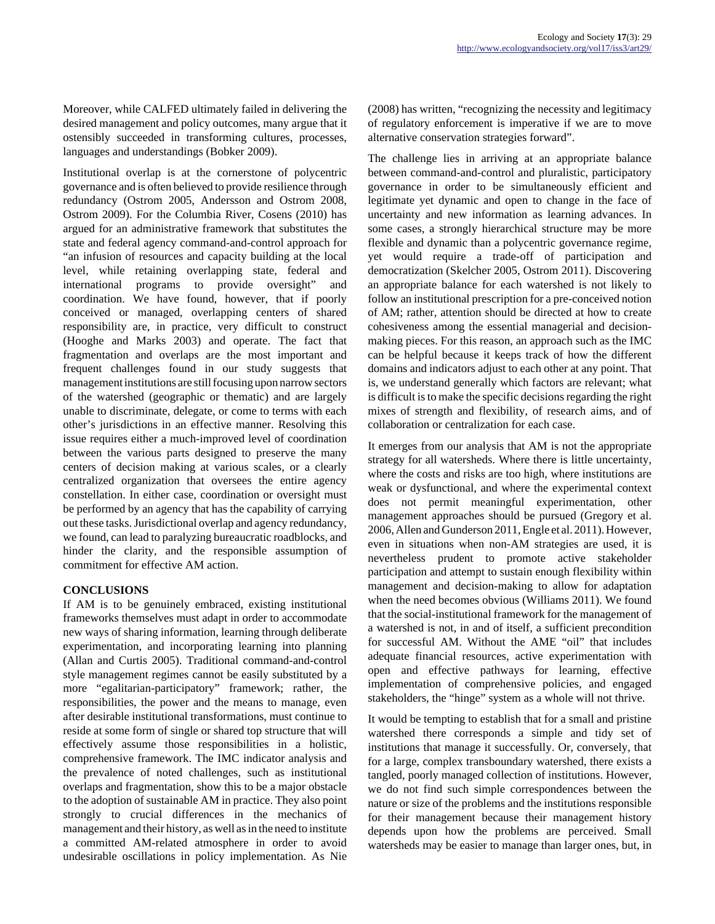Moreover, while CALFED ultimately failed in delivering the desired management and policy outcomes, many argue that it ostensibly succeeded in transforming cultures, processes, languages and understandings (Bobker 2009).

Institutional overlap is at the cornerstone of polycentric governance and is often believed to provide resilience through redundancy (Ostrom 2005, Andersson and Ostrom 2008, Ostrom 2009). For the Columbia River, Cosens (2010) has argued for an administrative framework that substitutes the state and federal agency command-and-control approach for "an infusion of resources and capacity building at the local level, while retaining overlapping state, federal and international programs to provide oversight" and coordination. We have found, however, that if poorly conceived or managed, overlapping centers of shared responsibility are, in practice, very difficult to construct (Hooghe and Marks 2003) and operate. The fact that fragmentation and overlaps are the most important and frequent challenges found in our study suggests that management institutions are still focusing upon narrow sectors of the watershed (geographic or thematic) and are largely unable to discriminate, delegate, or come to terms with each other's jurisdictions in an effective manner. Resolving this issue requires either a much-improved level of coordination between the various parts designed to preserve the many centers of decision making at various scales, or a clearly centralized organization that oversees the entire agency constellation. In either case, coordination or oversight must be performed by an agency that has the capability of carrying out these tasks. Jurisdictional overlap and agency redundancy, we found, can lead to paralyzing bureaucratic roadblocks, and hinder the clarity, and the responsible assumption of commitment for effective AM action.

# **CONCLUSIONS**

If AM is to be genuinely embraced, existing institutional frameworks themselves must adapt in order to accommodate new ways of sharing information, learning through deliberate experimentation, and incorporating learning into planning (Allan and Curtis 2005). Traditional command-and-control style management regimes cannot be easily substituted by a more "egalitarian-participatory" framework; rather, the responsibilities, the power and the means to manage, even after desirable institutional transformations, must continue to reside at some form of single or shared top structure that will effectively assume those responsibilities in a holistic, comprehensive framework. The IMC indicator analysis and the prevalence of noted challenges, such as institutional overlaps and fragmentation, show this to be a major obstacle to the adoption of sustainable AM in practice. They also point strongly to crucial differences in the mechanics of management and their history, as well as in the need to institute a committed AM-related atmosphere in order to avoid undesirable oscillations in policy implementation. As Nie

(2008) has written, "recognizing the necessity and legitimacy of regulatory enforcement is imperative if we are to move alternative conservation strategies forward".

The challenge lies in arriving at an appropriate balance between command-and-control and pluralistic, participatory governance in order to be simultaneously efficient and legitimate yet dynamic and open to change in the face of uncertainty and new information as learning advances. In some cases, a strongly hierarchical structure may be more flexible and dynamic than a polycentric governance regime, yet would require a trade-off of participation and democratization (Skelcher 2005, Ostrom 2011). Discovering an appropriate balance for each watershed is not likely to follow an institutional prescription for a pre-conceived notion of AM; rather, attention should be directed at how to create cohesiveness among the essential managerial and decisionmaking pieces. For this reason, an approach such as the IMC can be helpful because it keeps track of how the different domains and indicators adjust to each other at any point. That is, we understand generally which factors are relevant; what is difficult is to make the specific decisions regarding the right mixes of strength and flexibility, of research aims, and of collaboration or centralization for each case.

It emerges from our analysis that AM is not the appropriate strategy for all watersheds. Where there is little uncertainty, where the costs and risks are too high, where institutions are weak or dysfunctional, and where the experimental context does not permit meaningful experimentation, other management approaches should be pursued (Gregory et al. 2006, Allen and Gunderson 2011, Engle et al. 2011). However, even in situations when non-AM strategies are used, it is nevertheless prudent to promote active stakeholder participation and attempt to sustain enough flexibility within management and decision-making to allow for adaptation when the need becomes obvious (Williams 2011). We found that the social-institutional framework for the management of a watershed is not, in and of itself, a sufficient precondition for successful AM. Without the AME "oil" that includes adequate financial resources, active experimentation with open and effective pathways for learning, effective implementation of comprehensive policies, and engaged stakeholders, the "hinge" system as a whole will not thrive.

It would be tempting to establish that for a small and pristine watershed there corresponds a simple and tidy set of institutions that manage it successfully. Or, conversely, that for a large, complex transboundary watershed, there exists a tangled, poorly managed collection of institutions. However, we do not find such simple correspondences between the nature or size of the problems and the institutions responsible for their management because their management history depends upon how the problems are perceived. Small watersheds may be easier to manage than larger ones, but, in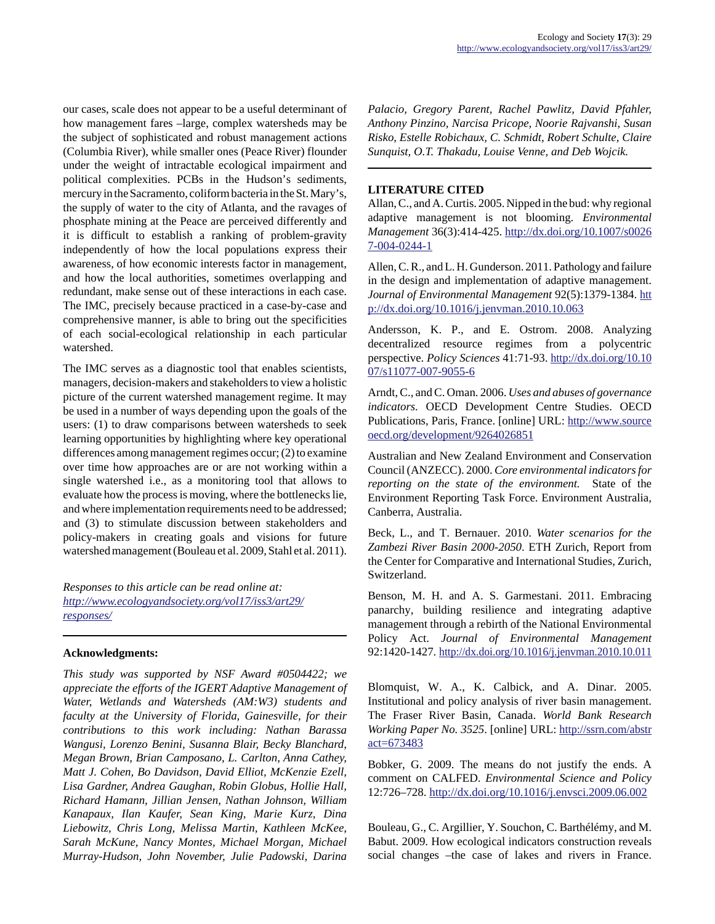our cases, scale does not appear to be a useful determinant of how management fares –large, complex watersheds may be the subject of sophisticated and robust management actions (Columbia River), while smaller ones (Peace River) flounder under the weight of intractable ecological impairment and political complexities. PCBs in the Hudson's sediments, mercury in the Sacramento, coliform bacteria in the St. Mary's, the supply of water to the city of Atlanta, and the ravages of phosphate mining at the Peace are perceived differently and it is difficult to establish a ranking of problem-gravity independently of how the local populations express their awareness, of how economic interests factor in management, and how the local authorities, sometimes overlapping and redundant, make sense out of these interactions in each case. The IMC, precisely because practiced in a case-by-case and comprehensive manner, is able to bring out the specificities of each social-ecological relationship in each particular watershed.

The IMC serves as a diagnostic tool that enables scientists, managers, decision-makers and stakeholders to view a holistic picture of the current watershed management regime. It may be used in a number of ways depending upon the goals of the users: (1) to draw comparisons between watersheds to seek learning opportunities by highlighting where key operational differences among management regimes occur; (2) to examine over time how approaches are or are not working within a single watershed i.e., as a monitoring tool that allows to evaluate how the process is moving, where the bottlenecks lie, and where implementation requirements need to be addressed; and (3) to stimulate discussion between stakeholders and policy-makers in creating goals and visions for future watershed management (Bouleau et al. 2009, Stahl et al. 2011).

*Responses to this article can be read online at: [http://www](http://www.ecologyandsociety.org/vol17/iss3/art29/responses/).ecologyandsociety.org/vol17/iss3/art29/ responses/*

#### **Acknowledgments:**

*This study was supported by NSF Award #0504422; we appreciate the efforts of the IGERT Adaptive Management of Water, Wetlands and Watersheds (AM:W3) students and faculty at the University of Florida, Gainesville, for their contributions to this work including: Nathan Barassa Wangusi, Lorenzo Benini, Susanna Blair, Becky Blanchard, Megan Brown, Brian Camposano, L. Carlton, Anna Cathey, Matt J. Cohen, Bo Davidson, David Elliot, McKenzie Ezell, Lisa Gardner, Andrea Gaughan, Robin Globus, Hollie Hall, Richard Hamann, Jillian Jensen, Nathan Johnson, William Kanapaux, Ilan Kaufer, Sean King, Marie Kurz, Dina Liebowitz, Chris Long, Melissa Martin, Kathleen McKee, Sarah McKune, Nancy Montes, Michael Morgan, Michael Murray-Hudson, John November, Julie Padowski, Darina*

*Palacio, Gregory Parent, Rachel Pawlitz, David Pfahler, Anthony Pinzino, Narcisa Pricope, Noorie Rajvanshi, Susan Risko, Estelle Robichaux, C. Schmidt, Robert Schulte, Claire Sunquist, O.T. Thakadu, Louise Venne, and Deb Wojcik.*

### **LITERATURE CITED**

Allan, C., and A. Curtis. 2005. Nipped in the bud: why regional adaptive management is not blooming. *Environmental Management* 36(3):414-425. [http://dx.doi.org/10.1007/s0026](http://dx.doi.org/10.1007/s00267-004-0244-1) [7-004-0244-1](http://dx.doi.org/10.1007/s00267-004-0244-1) 

Allen, C. R., and L. H. Gunderson. 2011. Pathology and failure in the design and implementation of adaptive management. *Journal of Environmental Management* 92(5):1379-1384. [htt](http://dx.doi.org/10.1016/j.jenvman.2010.10.063) [p://dx.doi.org/10.1016/j.jenvman.2010.10.063](http://dx.doi.org/10.1016/j.jenvman.2010.10.063) 

Andersson, K. P., and E. Ostrom. 2008. Analyzing decentralized resource regimes from a polycentric perspective. *Policy Sciences* 41:71-93. [http://dx.doi.org/10.10](http://dx.doi.org/10.1007/s11077-007-9055-6) [07/s11077-007-9055-6](http://dx.doi.org/10.1007/s11077-007-9055-6) 

Arndt, C., and C. Oman. 2006. *Uses and abuses of governance indicators.* OECD Development Centre Studies. OECD Publications, Paris, France. [online] URL: [http://www.source](http://www.sourceoecd.org/development/9264026851) [oecd.org/development/9264026851](http://www.sourceoecd.org/development/9264026851) 

Australian and New Zealand Environment and Conservation Council (ANZECC). 2000. *Core environmental indicators for reporting on the state of the environment.* State of the Environment Reporting Task Force. Environment Australia, Canberra, Australia.

Beck, L., and T. Bernauer. 2010. *Water scenarios for the Zambezi River Basin 2000-2050*. ETH Zurich, Report from the Center for Comparative and International Studies, Zurich, Switzerland.

Benson, M. H. and A. S. Garmestani. 2011. Embracing panarchy, building resilience and integrating adaptive management through a rebirth of the National Environmental Policy Act. *Journal of Environmental Management* 92:1420-1427.<http://dx.doi.org/10.1016/j.jenvman.2010.10.011>

Blomquist, W. A., K. Calbick, and A. Dinar. 2005. Institutional and policy analysis of river basin management. The Fraser River Basin, Canada. *World Bank Research Working Paper No. 3525*. [online] URL: [http://ssrn.com/abstr](http://ssrn.com/abstract=673483) [act=673483](http://ssrn.com/abstract=673483)

Bobker, G. 2009. The means do not justify the ends. A comment on CALFED. *Environmental Science and Policy* 12:726–728. <http://dx.doi.org/10.1016/j.envsci.2009.06.002>

Bouleau, G., C. Argillier, Y. Souchon, C. Barthélémy, and M. Babut. 2009. How ecological indicators construction reveals social changes –the case of lakes and rivers in France.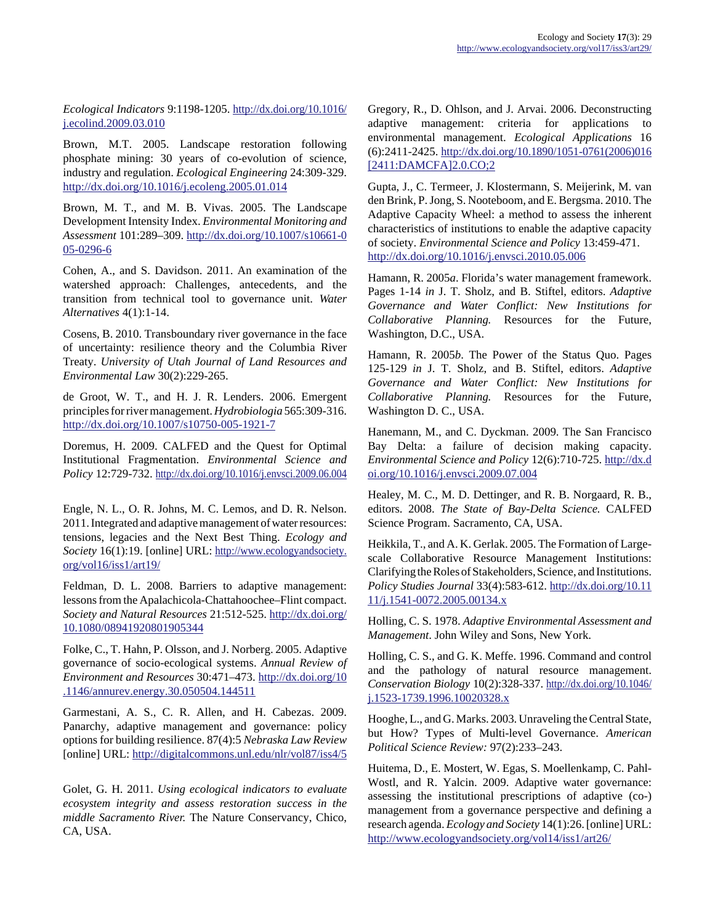*Ecological Indicators* 9:1198-1205. [http://dx.doi.org/10.1016/](http://dx.doi.org/10.1016/j.ecolind.2009.03.010) [j.ecolind.2009.03.010](http://dx.doi.org/10.1016/j.ecolind.2009.03.010)

Brown, M.T. 2005. Landscape restoration following phosphate mining: 30 years of co-evolution of science, industry and regulation. *Ecological Engineering* 24:309-329. <http://dx.doi.org/10.1016/j.ecoleng.2005.01.014>

Brown, M. T., and M. B. Vivas. 2005. The Landscape Development Intensity Index. *Environmental Monitoring and Assessment* 101:289–309. [http://dx.doi.org/10.1007/s10661-0](http://dx.doi.org/10.1007/s10661-005-0296-6) [05-0296-6](http://dx.doi.org/10.1007/s10661-005-0296-6) 

Cohen, A., and S. Davidson. 2011. An examination of the watershed approach: Challenges, antecedents, and the transition from technical tool to governance unit. *Water Alternatives* 4(1):1-14.

Cosens, B. 2010. Transboundary river governance in the face of uncertainty: resilience theory and the Columbia River Treaty. *University of Utah Journal of Land Resources and Environmental Law* 30(2):229-265.

de Groot, W. T., and H. J. R. Lenders. 2006. Emergent principles for river management. *Hydrobiologia* 565:309-316. <http://dx.doi.org/10.1007/s10750-005-1921-7>

Doremus, H. 2009. CALFED and the Quest for Optimal Institutional Fragmentation. *Environmental Science and Policy* 12:729-732.<http://dx.doi.org/10.1016/j.envsci.2009.06.004>

Engle, N. L., O. R. Johns, M. C. Lemos, and D. R. Nelson. 2011. Integrated and adaptive management of water resources: tensions, legacies and the Next Best Thing. *Ecology and Society* 16(1):19. [online] URL: [http://www.ecologyandsociety.](http://www.ecologyandsociety.org/vol16/iss1/art19/) [org/vol16/iss1/art19/](http://www.ecologyandsociety.org/vol16/iss1/art19/)

Feldman, D. L. 2008. Barriers to adaptive management: lessons from the Apalachicola-Chattahoochee–Flint compact. *Society and Natural Resources* 21:512-525. [http://dx.doi.org/](http://dx.doi.org/10.1080/08941920801905344) [10.1080/08941920801905344](http://dx.doi.org/10.1080/08941920801905344)

Folke, C., T. Hahn, P. Olsson, and J. Norberg. 2005. Adaptive governance of socio-ecological systems. *Annual Review of Environment and Resources* 30:471–473. [http://dx.doi.org/10](http://dx.doi.org/10.1146/annurev.energy.30.050504.144511) [.1146/annurev.energy.30.050504.144511](http://dx.doi.org/10.1146/annurev.energy.30.050504.144511)

Garmestani, A. S., C. R. Allen, and H. Cabezas. 2009. Panarchy, adaptive management and governance: policy options for building resilience. 87(4):5 *Nebraska Law Review* [online] URL:<http://digitalcommons.unl.edu/nlr/vol87/iss4/5>

Golet, G. H. 2011. *Using ecological indicators to evaluate ecosystem integrity and assess restoration success in the middle Sacramento River.* The Nature Conservancy, Chico, CA, USA.

Gregory, R., D. Ohlson, and J. Arvai. 2006. Deconstructing adaptive management: criteria for applications to environmental management. *Ecological Applications* 16 (6):2411-2425. [http://dx.doi.org/10.1890/1051-0761\(2006\)016](http://dx.doi.org/10.1890/1051-0761(2006)016[2411:DAMCFA]2.0.CO;2) [\[2411:DAMCFA\]2.0.CO;2](http://dx.doi.org/10.1890/1051-0761(2006)016[2411:DAMCFA]2.0.CO;2) 

Gupta, J., C. Termeer, J. Klostermann, S. Meijerink, M. van den Brink, P. Jong, S. Nooteboom, and E. Bergsma. 2010. The Adaptive Capacity Wheel: a method to assess the inherent characteristics of institutions to enable the adaptive capacity of society. *Environmental Science and Policy* 13:459-471. <http://dx.doi.org/10.1016/j.envsci.2010.05.006>

Hamann, R. 2005*a*. Florida's water management framework. Pages 1-14 *in* J. T. Sholz, and B. Stiftel, editors. *Adaptive Governance and Water Conflict: New Institutions for Collaborative Planning.* Resources for the Future, Washington, D.C., USA.

Hamann, R. 2005*b*. The Power of the Status Quo. Pages 125-129 *in* J. T. Sholz, and B. Stiftel, editors. *Adaptive Governance and Water Conflict: New Institutions for Collaborative Planning.* Resources for the Future, Washington D. C., USA.

Hanemann, M., and C. Dyckman. 2009. The San Francisco Bay Delta: a failure of decision making capacity. *Environmental Science and Policy* 12(6):710-725. [http://dx.d](http://dx.doi.org/10.1016/j.envsci.2009.07.004) [oi.org/10.1016/j.envsci.2009.07.004](http://dx.doi.org/10.1016/j.envsci.2009.07.004)

Healey, M. C., M. D. Dettinger, and R. B. Norgaard, R. B., editors. 2008. *The State of Bay-Delta Science.* CALFED Science Program. Sacramento, CA, USA.

Heikkila, T., and A. K. Gerlak. 2005. The Formation of Largescale Collaborative Resource Management Institutions: Clarifying the Roles of Stakeholders, Science, and Institutions. *Policy Studies Journal* 33(4):583-612. [http://dx.doi.org/10.11](http://dx.doi.org/10.1111/j.1541-0072.2005.00134.x) [11/j.1541-0072.2005.00134.x](http://dx.doi.org/10.1111/j.1541-0072.2005.00134.x)

Holling, C. S. 1978. *Adaptive Environmental Assessment and Management*. John Wiley and Sons, New York.

Holling, C. S., and G. K. Meffe. 1996. Command and control and the pathology of natural resource management. *Conservation Biology* 10(2):328-337. [http://dx.doi.org/10.1046/](http://dx.doi.org/10.1046/j.1523-1739.1996.10020328.x) [j.1523-1739.1996.10020328.x](http://dx.doi.org/10.1046/j.1523-1739.1996.10020328.x)

Hooghe, L., and G. Marks. 2003. Unraveling the Central State, but How? Types of Multi-level Governance. *American Political Science Review:* 97(2):233–243.

Huitema, D., E. Mostert, W. Egas, S. Moellenkamp, C. Pahl-Wostl, and R. Yalcin. 2009. Adaptive water governance: assessing the institutional prescriptions of adaptive (co-) management from a governance perspective and defining a research agenda. *Ecology and Society* 14(1):26. [online] URL: <http://www.ecologyandsociety.org/vol14/iss1/art26/>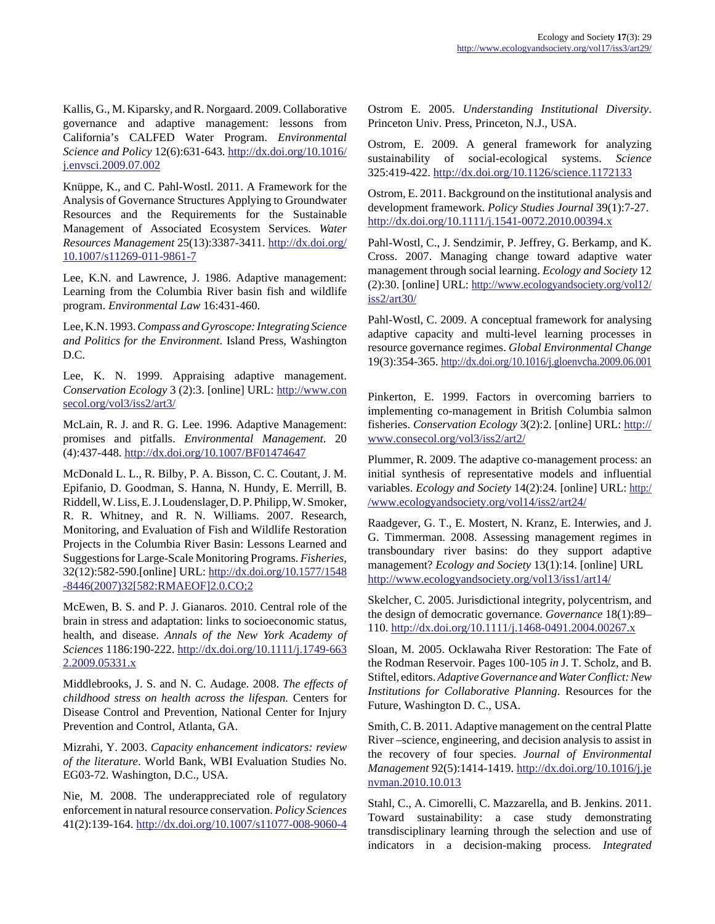Kallis, G., M. Kiparsky, and R. Norgaard. 2009. Collaborative governance and adaptive management: lessons from California's CALFED Water Program. *Environmental Science and Policy* 12(6):631-643. [http://dx.doi.org/10.1016/](http://dx.doi.org/10.1016/j.envsci.2009.07.002) [j.envsci.2009.07.002](http://dx.doi.org/10.1016/j.envsci.2009.07.002)

Knüppe, K., and C. Pahl-Wostl. 2011. A Framework for the Analysis of Governance Structures Applying to Groundwater Resources and the Requirements for the Sustainable Management of Associated Ecosystem Services. *Water Resources Management* 25(13):3387-3411. [http://dx.doi.org/](http://dx.doi.org/10.1007/s11269-011-9861-7) [10.1007/s11269-011-9861-7](http://dx.doi.org/10.1007/s11269-011-9861-7)

Lee, K.N. and Lawrence, J. 1986. Adaptive management: Learning from the Columbia River basin fish and wildlife program. *Environmental Law* 16:431-460.

Lee, K.N. 1993. *Compass and Gyroscope: Integrating Science and Politics for the Environment*. Island Press, Washington D.C.

Lee, K. N. 1999. Appraising adaptive management. *Conservation Ecology* 3 (2):3. [online] URL: [http://www.con](http://www.consecol.org/vol3/iss2/art3/) [secol.org/vol3/iss2/art3/](http://www.consecol.org/vol3/iss2/art3/)

McLain, R. J. and R. G. Lee. 1996. Adaptive Management: promises and pitfalls. *Environmental Management*. 20 (4):437-448. <http://dx.doi.org/10.1007/BF01474647>

McDonald L. L., R. Bilby, P. A. Bisson, C. C. Coutant, J. M. Epifanio, D. Goodman, S. Hanna, N. Hundy, E. Merrill, B. Riddell, W. Liss, E. J. Loudenslager, D. P. Philipp, W. Smoker, R. R. Whitney, and R. N. Williams. 2007. Research, Monitoring, and Evaluation of Fish and Wildlife Restoration Projects in the Columbia River Basin: Lessons Learned and Suggestions for Large-Scale Monitoring Programs. *Fisheries*, 32(12):582-590.[online] URL: [http://dx.doi.org/10.1577/1548](http://dx.doi.org/10.1577/1548-8446%282007%2932%5b582:RMAEOF%5d2.0.CO;2) [-8446\(2007\)32\[582:RMAEOF\]2.0.CO;2](http://dx.doi.org/10.1577/1548-8446%282007%2932%5b582:RMAEOF%5d2.0.CO;2) 

McEwen, B. S. and P. J. Gianaros. 2010. Central role of the brain in stress and adaptation: links to socioeconomic status, health, and disease. *Annals of the New York Academy of Sciences* 1186:190-222. [http://dx.doi.org/10.1111/j.1749-663](http://dx.doi.org/10.1111/j.1749-6632.2009.05331.x) [2.2009.05331.x](http://dx.doi.org/10.1111/j.1749-6632.2009.05331.x)

Middlebrooks, J. S. and N. C. Audage. 2008. *The effects of childhood stress on health across the lifespan.* Centers for Disease Control and Prevention, National Center for Injury Prevention and Control, Atlanta, GA.

Mizrahi, Y. 2003. *Capacity enhancement indicators: review of the literature*. World Bank, WBI Evaluation Studies No. EG03-72. Washington, D.C., USA.

Nie, M. 2008. The underappreciated role of regulatory enforcement in natural resource conservation. *Policy Sciences* 41(2):139-164. <http://dx.doi.org/10.1007/s11077-008-9060-4> Ostrom E. 2005. *Understanding Institutional Diversity*. Princeton Univ. Press, Princeton, N.J., USA.

Ostrom, E. 2009. A general framework for analyzing sustainability of social-ecological systems. *Science* 325:419-422.<http://dx.doi.org/10.1126/science.1172133>

Ostrom, E. 2011. Background on the institutional analysis and development framework. *Policy Studies Journal* 39(1):7-27. <http://dx.doi.org/10.1111/j.1541-0072.2010.00394.x>

Pahl-Wostl, C., J. Sendzimir, P. Jeffrey, G. Berkamp, and K. Cross. 2007. Managing change toward adaptive water management through social learning. *Ecology and Society* 12 (2):30. [online] URL: [http://www.ecologyandsociety.org/vol12/](http://www.ecologyandsociety.org/vol12/iss2/art30/) [iss2/art30/](http://www.ecologyandsociety.org/vol12/iss2/art30/) 

Pahl-Wostl, C. 2009. A conceptual framework for analysing adaptive capacity and multi-level learning processes in resource governance regimes. *Global Environmental Change* 19(3):354-365. <http://dx.doi.org/10.1016/j.gloenvcha.2009.06.001>

Pinkerton, E. 1999. Factors in overcoming barriers to implementing co-management in British Columbia salmon fisheries. *Conservation Ecology* 3(2):2. [online] URL: [http://](http://www.consecol.org/vol3/iss2/art2/) [www.consecol.org/vol3/iss2/art2/](http://www.consecol.org/vol3/iss2/art2/) 

Plummer, R. 2009. The adaptive co-management process: an initial synthesis of representative models and influential variables. *Ecology and Society* 14(2):24. [online] URL: [http:/](http://www.ecologyandsociety.org/vol14/iss2/art24/) [/www.ecologyandsociety.org/vol14/iss2/art24/](http://www.ecologyandsociety.org/vol14/iss2/art24/)

Raadgever, G. T., E. Mostert, N. Kranz, E. Interwies, and J. G. Timmerman. 2008. Assessing management regimes in transboundary river basins: do they support adaptive management? *Ecology and Society* 13(1):14. [online] URL <http://www.ecologyandsociety.org/vol13/iss1/art14/>

Skelcher, C. 2005. Jurisdictional integrity, polycentrism, and the design of democratic governance. *Governance* 18(1):89– 110. <http://dx.doi.org/10.1111/j.1468-0491.2004.00267.x>

Sloan, M. 2005. Ocklawaha River Restoration: The Fate of the Rodman Reservoir. Pages 100-105 *in* J. T. Scholz, and B. Stiftel, editors. *Adaptive Governance and Water Conflict: New Institutions for Collaborative Planning*. Resources for the Future, Washington D. C., USA.

Smith, C. B. 2011. Adaptive management on the central Platte River –science, engineering, and decision analysis to assist in the recovery of four species. *Journal of Environmental Management* 92(5):1414-1419. [http://dx.doi.org/10.1016/j.je](http://dx.doi.org/10.1016/j.jenvman.2010.10.013) [nvman.2010.10.013](http://dx.doi.org/10.1016/j.jenvman.2010.10.013) 

Stahl, C., A. Cimorelli, C. Mazzarella, and B. Jenkins. 2011. Toward sustainability: a case study demonstrating transdisciplinary learning through the selection and use of indicators in a decision-making process. *Integrated*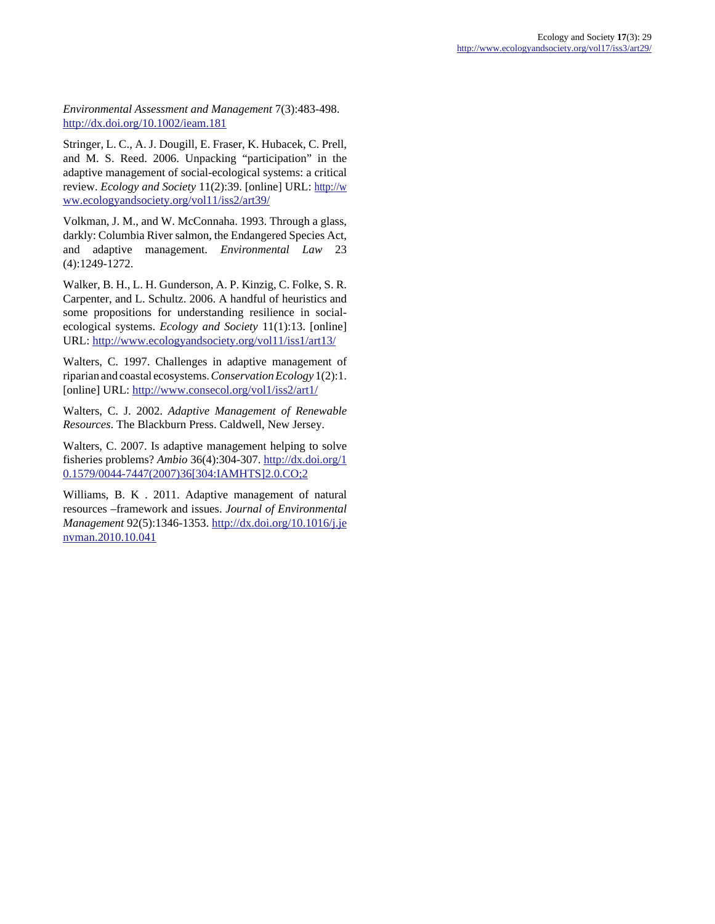*Environmental Assessment and Management* 7(3):483-498. <http://dx.doi.org/10.1002/ieam.181>

Stringer, L. C., A. J. Dougill, E. Fraser, K. Hubacek, C. Prell, and M. S. Reed. 2006. Unpacking "participation" in the adaptive management of social-ecological systems: a critical review. *Ecology and Society* 11(2):39. [online] URL: [http://w](http://www.ecologyandsociety.org/vol11/iss2/art39/) [ww.ecologyandsociety.org/vol11/iss2/art39/](http://www.ecologyandsociety.org/vol11/iss2/art39/)

Volkman, J. M., and W. McConnaha. 1993. Through a glass, darkly: Columbia River salmon, the Endangered Species Act, and adaptive management. *Environmental Law* 23 (4):1249-1272.

Walker, B. H., L. H. Gunderson, A. P. Kinzig, C. Folke, S. R. Carpenter, and L. Schultz. 2006. A handful of heuristics and some propositions for understanding resilience in socialecological systems. *Ecology and Society* 11(1):13. [online] URL:<http://www.ecologyandsociety.org/vol11/iss1/art13/>

Walters, C. 1997. Challenges in adaptive management of riparian and coastal ecosystems. *Conservation Ecology* 1(2):1. [online] URL:<http://www.consecol.org/vol1/iss2/art1/>

Walters, C. J. 2002. *Adaptive Management of Renewable Resources*. The Blackburn Press. Caldwell, New Jersey.

Walters, C. 2007. Is adaptive management helping to solve fisheries problems? *Ambio* 36(4):304-307. [http://dx.doi.org/1](http://dx.doi.org/10.1579/0044-7447(2007)36[304:IAMHTS]2.0.CO;2) [0.1579/0044-7447\(2007\)36\[304:IAMHTS\]2.0.CO;2](http://dx.doi.org/10.1579/0044-7447(2007)36[304:IAMHTS]2.0.CO;2)

Williams, B. K . 2011. Adaptive management of natural resources –framework and issues. *Journal of Environmental Management* 92(5):1346-1353. [http://dx.doi.org/10.1016/j.je](http://dx.doi.org/10.1016/j.jenvman.2010.10.041) [nvman.2010.10.041](http://dx.doi.org/10.1016/j.jenvman.2010.10.041)